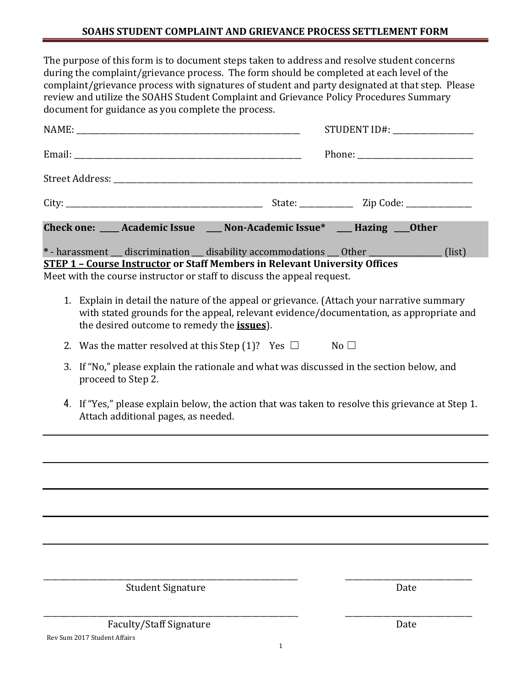The purpose of this form is to document steps taken to address and resolve student concerns during the complaint/grievance process. The form should be completed at each level of the complaint/grievance process with signatures of student and party designated at that step. Please review and utilize the SOAHS Student Complaint and Grievance Policy Procedures Summary document for guidance as you complete the process.

|                                                                                                                                                                                                                                             |                                                                                                                                          |                                                                                                                                                                                                                                                             | STUDENT ID#: ____________________ |      |  |
|---------------------------------------------------------------------------------------------------------------------------------------------------------------------------------------------------------------------------------------------|------------------------------------------------------------------------------------------------------------------------------------------|-------------------------------------------------------------------------------------------------------------------------------------------------------------------------------------------------------------------------------------------------------------|-----------------------------------|------|--|
|                                                                                                                                                                                                                                             |                                                                                                                                          |                                                                                                                                                                                                                                                             |                                   |      |  |
|                                                                                                                                                                                                                                             |                                                                                                                                          |                                                                                                                                                                                                                                                             |                                   |      |  |
|                                                                                                                                                                                                                                             |                                                                                                                                          |                                                                                                                                                                                                                                                             |                                   |      |  |
|                                                                                                                                                                                                                                             |                                                                                                                                          | Check one: ___ Academic Issue ___ Non-Academic Issue* __ Hazing ___ 0ther                                                                                                                                                                                   |                                   |      |  |
|                                                                                                                                                                                                                                             |                                                                                                                                          | * - harassment __ discrimination __ disability accommodations __ 0ther _____________ (list)<br><b>STEP 1 - Course Instructor or Staff Members in Relevant University Offices</b><br>Meet with the course instructor or staff to discuss the appeal request. |                                   |      |  |
| 1. Explain in detail the nature of the appeal or grievance. (Attach your narrative summary<br>with stated grounds for the appeal, relevant evidence/documentation, as appropriate and<br>the desired outcome to remedy the <i>issues</i> ). |                                                                                                                                          |                                                                                                                                                                                                                                                             |                                   |      |  |
|                                                                                                                                                                                                                                             | 2. Was the matter resolved at this Step (1)? Yes $\Box$ No $\Box$                                                                        |                                                                                                                                                                                                                                                             |                                   |      |  |
|                                                                                                                                                                                                                                             | 3. If "No," please explain the rationale and what was discussed in the section below, and<br>proceed to Step 2.                          |                                                                                                                                                                                                                                                             |                                   |      |  |
|                                                                                                                                                                                                                                             | 4. If "Yes," please explain below, the action that was taken to resolve this grievance at Step 1.<br>Attach additional pages, as needed. |                                                                                                                                                                                                                                                             |                                   |      |  |
|                                                                                                                                                                                                                                             |                                                                                                                                          |                                                                                                                                                                                                                                                             |                                   |      |  |
|                                                                                                                                                                                                                                             |                                                                                                                                          |                                                                                                                                                                                                                                                             |                                   |      |  |
|                                                                                                                                                                                                                                             |                                                                                                                                          |                                                                                                                                                                                                                                                             |                                   |      |  |
|                                                                                                                                                                                                                                             |                                                                                                                                          |                                                                                                                                                                                                                                                             |                                   |      |  |
|                                                                                                                                                                                                                                             |                                                                                                                                          |                                                                                                                                                                                                                                                             |                                   |      |  |
|                                                                                                                                                                                                                                             | <b>Student Signature</b>                                                                                                                 |                                                                                                                                                                                                                                                             |                                   | Date |  |

\_\_\_\_\_\_\_\_\_\_\_\_\_\_\_\_\_\_\_\_\_\_\_\_\_\_\_\_\_\_\_\_\_\_\_\_\_\_\_\_\_\_\_\_\_\_\_\_\_\_\_\_\_\_\_\_\_\_\_\_\_\_\_\_\_\_ \_\_\_\_\_\_\_\_\_\_\_\_\_\_\_\_\_\_\_\_\_\_\_\_\_\_\_\_\_\_\_\_\_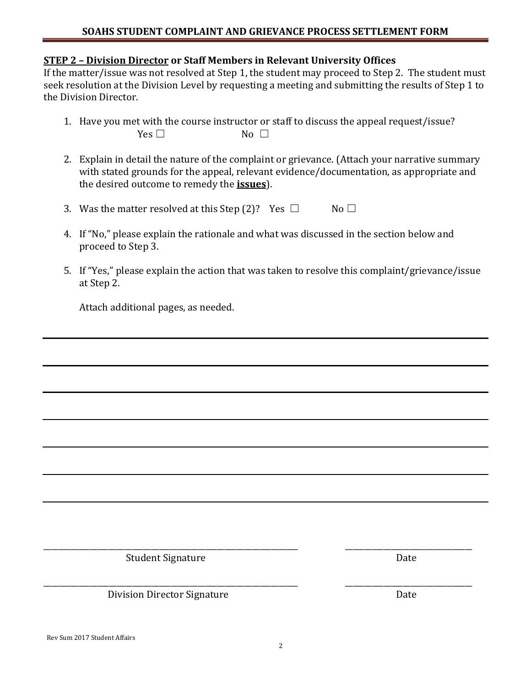## **STEP 2 – Division Director or Staff Members in Relevant University Offices**

If the matter/issue was not resolved at Step 1, the student may proceed to Step 2. The student must seek resolution at the Division Level by requesting a meeting and submitting the results of Step 1 to the Division Director.

- 1. Have you met with the course instructor or staff to discuss the appeal request/issue?  $Yes \Box$  No  $\Box$
- 2. Explain in detail the nature of the complaint or grievance. (Attach your narrative summary with stated grounds for the appeal, relevant evidence/documentation, as appropriate and the desired outcome to remedy the **issues**).
- 3. Was the matter resolved at this Step (2)? Yes  $\Box$  No  $\Box$
- 4. If "No," please explain the rationale and what was discussed in the section below and proceed to Step 3.
- 5. If "Yes," please explain the action that was taken to resolve this complaint/grievance/issue at Step 2.

Attach additional pages, as needed.

Student Signature Date

\_\_\_\_\_\_\_\_\_\_\_\_\_\_\_\_\_\_\_\_\_\_\_\_\_\_\_\_\_\_\_\_\_\_\_\_\_\_\_\_\_\_\_\_\_\_\_\_\_\_\_\_\_\_\_\_\_\_\_\_\_\_\_\_\_\_ \_\_\_\_\_\_\_\_\_\_\_\_\_\_\_\_\_\_\_\_\_\_\_\_\_\_\_\_\_\_\_\_\_ Division Director Signature Date

\_\_\_\_\_\_\_\_\_\_\_\_\_\_\_\_\_\_\_\_\_\_\_\_\_\_\_\_\_\_\_\_\_\_\_\_\_\_\_\_\_\_\_\_\_\_\_\_\_\_\_\_\_\_\_\_\_\_\_\_\_\_\_\_\_\_ \_\_\_\_\_\_\_\_\_\_\_\_\_\_\_\_\_\_\_\_\_\_\_\_\_\_\_\_\_\_\_\_\_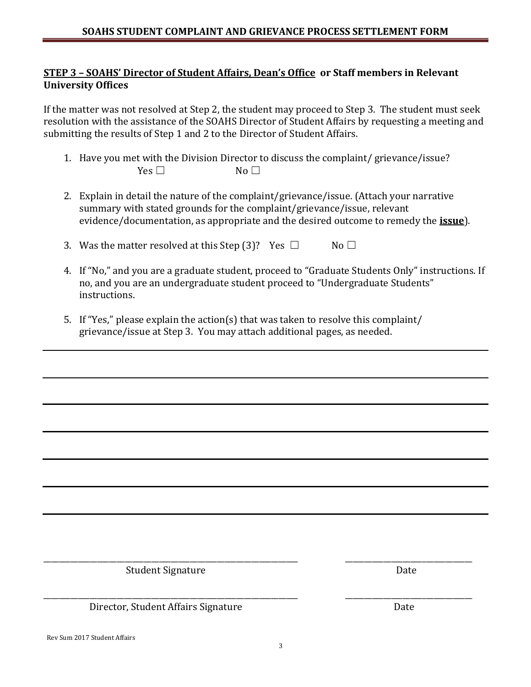## **STEP 3 – SOAHS' Director of Student Affairs, Dean's Office or Staff members in Relevant University Offices**

If the matter was not resolved at Step 2, the student may proceed to Step 3. The student must seek resolution with the assistance of the SOAHS Director of Student Affairs by requesting a meeting and submitting the results of Step 1 and 2 to the Director of Student Affairs.

- 1. Have you met with the Division Director to discuss the complaint/ grievance/issue?  $Yes \Box$  No  $\Box$
- 2. Explain in detail the nature of the complaint/grievance/issue. (Attach your narrative summary with stated grounds for the complaint/grievance/issue, relevant evidence/documentation, as appropriate and the desired outcome to remedy the **issue**).
- 3. Was the matter resolved at this Step (3)? Yes  $\Box$  No  $\Box$
- 4. If "No," and you are a graduate student, proceed to "Graduate Students Only" instructions. If no, and you are an undergraduate student proceed to "Undergraduate Students" instructions.
- 5. If "Yes," please explain the action(s) that was taken to resolve this complaint/ grievance/issue at Step 3. You may attach additional pages, as needed.

Student Signature Date

Director, Student Affairs Signature **Director**, Student Affairs Signature

Rev Sum 2017 Student Affairs

\_\_\_\_\_\_\_\_\_\_\_\_\_\_\_\_\_\_\_\_\_\_\_\_\_\_\_\_\_\_\_\_\_\_\_\_\_\_\_\_\_\_\_\_\_\_\_\_\_\_\_\_\_\_\_\_\_\_\_\_\_\_\_\_\_\_ \_\_\_\_\_\_\_\_\_\_\_\_\_\_\_\_\_\_\_\_\_\_\_\_\_\_\_\_\_\_\_\_\_

\_\_\_\_\_\_\_\_\_\_\_\_\_\_\_\_\_\_\_\_\_\_\_\_\_\_\_\_\_\_\_\_\_\_\_\_\_\_\_\_\_\_\_\_\_\_\_\_\_\_\_\_\_\_\_\_\_\_\_\_\_\_\_\_\_\_ \_\_\_\_\_\_\_\_\_\_\_\_\_\_\_\_\_\_\_\_\_\_\_\_\_\_\_\_\_\_\_\_\_